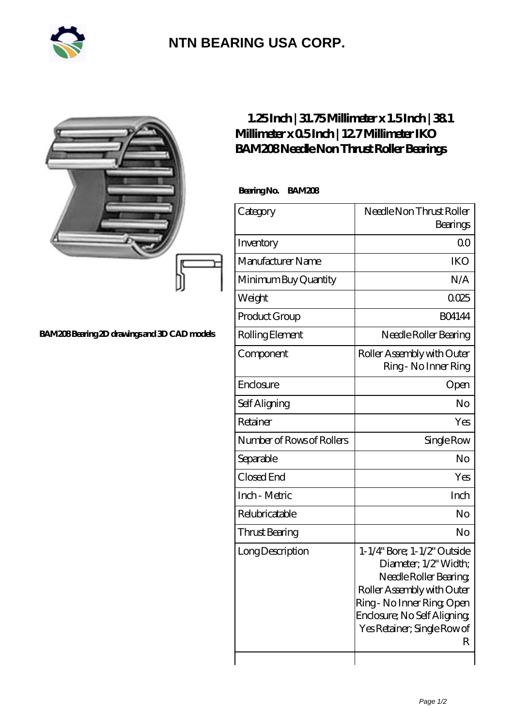

## **[NTN BEARING USA CORP.](https://m.2rw-antriebselemente.de)**

|                                             | $1.25$ Inch   31.75Millimeter x 1.5Inch   381<br>Millimeter x 05Inch   127 Millimeter IKO<br>BAM208Needle Non Thrust Roller Bearings |                                                                                                                                                                                                           |
|---------------------------------------------|--------------------------------------------------------------------------------------------------------------------------------------|-----------------------------------------------------------------------------------------------------------------------------------------------------------------------------------------------------------|
|                                             | BearingNo.<br><b>BAM208</b>                                                                                                          |                                                                                                                                                                                                           |
|                                             | Category                                                                                                                             | Needle Non Thrust Roller<br>Bearings                                                                                                                                                                      |
|                                             | Inventory                                                                                                                            | 0 <sup>0</sup>                                                                                                                                                                                            |
|                                             | Manufacturer Name                                                                                                                    | <b>IKO</b>                                                                                                                                                                                                |
|                                             | Minimum Buy Quantity                                                                                                                 | N/A                                                                                                                                                                                                       |
|                                             | Weight                                                                                                                               | 0025                                                                                                                                                                                                      |
|                                             | Product Group                                                                                                                        | <b>BO4144</b>                                                                                                                                                                                             |
| BAM208Bearing 2D drawings and 3D CAD models | Rolling Element                                                                                                                      | Needle Roller Bearing                                                                                                                                                                                     |
|                                             | Component                                                                                                                            | Roller Assembly with Outer<br>Ring - No Inner Ring                                                                                                                                                        |
|                                             | Enclosure                                                                                                                            | Open                                                                                                                                                                                                      |
|                                             | Self Aligning                                                                                                                        | N <sub>o</sub>                                                                                                                                                                                            |
|                                             | Retainer                                                                                                                             | Yes                                                                                                                                                                                                       |
|                                             | Number of Rows of Rollers                                                                                                            | Single Row                                                                                                                                                                                                |
|                                             | Separable                                                                                                                            | No                                                                                                                                                                                                        |
|                                             | Closed End                                                                                                                           | Yes                                                                                                                                                                                                       |
|                                             | Inch - Metric                                                                                                                        | Inch                                                                                                                                                                                                      |
|                                             | Relubricatable                                                                                                                       | No                                                                                                                                                                                                        |
|                                             | Thrust Bearing                                                                                                                       | N <sub>o</sub>                                                                                                                                                                                            |
|                                             | Long Description                                                                                                                     | 1-1/4" Bore; 1-1/2" Outside<br>Diameter; 1/2' Width;<br>Needle Roller Bearing<br>Roller Assembly with Outer<br>Ring-No Inner Ring Open<br>Enclosure; No Self Aligning<br>Yes Retainer; Single Row of<br>R |

 $\overline{\phantom{a}}$ 

 $\overline{\phantom{a}}$